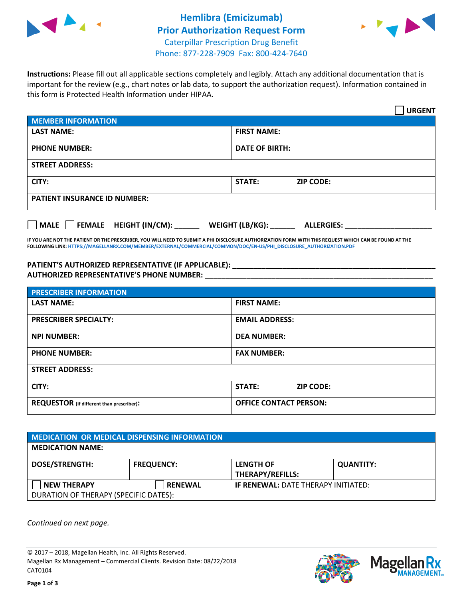



**Instructions:** Please fill out all applicable sections completely and legibly. Attach any additional documentation that is important for the review (e.g., chart notes or lab data, to support the authorization request). Information contained in this form is Protected Health Information under HIPAA.

|                                     | <b>URGENT</b>                        |  |
|-------------------------------------|--------------------------------------|--|
| <b>MEMBER INFORMATION</b>           |                                      |  |
| <b>LAST NAME:</b>                   | <b>FIRST NAME:</b>                   |  |
| <b>PHONE NUMBER:</b>                | <b>DATE OF BIRTH:</b>                |  |
| <b>STREET ADDRESS:</b>              |                                      |  |
| CITY:                               | STATE:<br><b>ZIP CODE:</b>           |  |
| <b>PATIENT INSURANCE ID NUMBER:</b> |                                      |  |
| FEMALE HEIGHT (IN/CM):<br>    MALE  | WEIGHT (LB/KG):<br><b>ALLERGIES:</b> |  |

**IF YOU ARE NOT THE PATIENT OR THE PRESCRIBER, YOU WILL NEED TO SUBMIT A PHI DISCLOSURE AUTHORIZATION FORM WITH THIS REQUEST WHICH CAN BE FOUND AT THE FOLLOWING LINK[: HTTPS://MAGELLANRX.COM/MEMBER/EXTERNAL/COMMERCIAL/COMMON/DOC/EN-US/PHI\\_DISCLOSURE\\_AUTHORIZATION.PDF](https://magellanrx.com/member/external/commercial/common/doc/en-us/PHI_Disclosure_Authorization.pdf)**

**PATIENT'S AUTHORIZED REPRESENTATIVE (IF APPLICABLE): \_\_\_\_\_\_\_\_\_\_\_\_\_\_\_\_\_\_\_\_\_\_\_\_\_\_\_\_\_\_\_\_\_\_\_\_\_\_\_\_\_\_\_\_\_\_\_\_\_ AUTHORIZED REPRESENTATIVE'S PHONE NUMBER:** \_\_\_\_\_\_\_\_\_\_\_\_\_\_\_\_\_\_\_\_\_\_\_\_\_\_\_\_\_\_\_\_\_\_\_\_\_\_\_\_\_\_\_\_\_\_\_\_\_\_\_\_\_\_\_

| <b>PRESCRIBER INFORMATION</b>             |                               |  |  |  |
|-------------------------------------------|-------------------------------|--|--|--|
| <b>LAST NAME:</b>                         | <b>FIRST NAME:</b>            |  |  |  |
| <b>PRESCRIBER SPECIALTY:</b>              | <b>EMAIL ADDRESS:</b>         |  |  |  |
| <b>NPI NUMBER:</b>                        | <b>DEA NUMBER:</b>            |  |  |  |
| <b>PHONE NUMBER:</b>                      | <b>FAX NUMBER:</b>            |  |  |  |
| <b>STREET ADDRESS:</b>                    |                               |  |  |  |
| CITY:                                     | STATE:<br><b>ZIP CODE:</b>    |  |  |  |
| REQUESTOR (if different than prescriber): | <b>OFFICE CONTACT PERSON:</b> |  |  |  |

| <b>MEDICATION OR MEDICAL DISPENSING INFORMATION</b> |                   |                                            |                  |  |
|-----------------------------------------------------|-------------------|--------------------------------------------|------------------|--|
| <b>MEDICATION NAME:</b>                             |                   |                                            |                  |  |
| <b>DOSE/STRENGTH:</b>                               | <b>FREQUENCY:</b> | <b>LENGTH OF</b>                           | <b>QUANTITY:</b> |  |
|                                                     |                   | <b>THERAPY/REFILLS:</b>                    |                  |  |
| <b>NEW THERAPY</b>                                  | <b>RENEWAL</b>    | <b>IF RENEWAL: DATE THERAPY INITIATED:</b> |                  |  |
| DURATION OF THERAPY (SPECIFIC DATES):               |                   |                                            |                  |  |

*Continued on next page.*

© 2017 – 2018, Magellan Health, Inc. All Rights Reserved. Magellan Rx Management – Commercial Clients. Revision Date: 08/22/2018 CAT0104



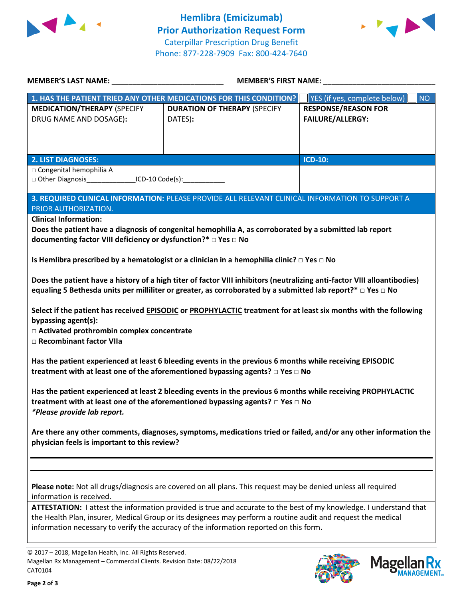



|                                                                                                                                                | MEMBER'S LAST NAME: __________________________________                                                                                                                                                                                                                                                                       |                                                       |  |
|------------------------------------------------------------------------------------------------------------------------------------------------|------------------------------------------------------------------------------------------------------------------------------------------------------------------------------------------------------------------------------------------------------------------------------------------------------------------------------|-------------------------------------------------------|--|
|                                                                                                                                                | 1. HAS THE PATIENT TRIED ANY OTHER MEDICATIONS FOR THIS CONDITION?                                                                                                                                                                                                                                                           | YES (if yes, complete below)<br><b>NO</b>             |  |
| <b>MEDICATION/THERAPY (SPECIFY</b><br>DRUG NAME AND DOSAGE):                                                                                   | <b>DURATION OF THERAPY (SPECIFY</b><br>DATES):                                                                                                                                                                                                                                                                               | <b>RESPONSE/REASON FOR</b><br><b>FAILURE/ALLERGY:</b> |  |
| <b>2. LIST DIAGNOSES:</b>                                                                                                                      |                                                                                                                                                                                                                                                                                                                              | <b>ICD-10:</b>                                        |  |
| □ Congenital hemophilia A<br>□ Other Diagnosis_________________ICD-10 Code(s):______________                                                   |                                                                                                                                                                                                                                                                                                                              |                                                       |  |
| PRIOR AUTHORIZATION.                                                                                                                           | 3. REQUIRED CLINICAL INFORMATION: PLEASE PROVIDE ALL RELEVANT CLINICAL INFORMATION TO SUPPORT A                                                                                                                                                                                                                              |                                                       |  |
| <b>Clinical Information:</b><br>documenting factor VIII deficiency or dysfunction?* □ Yes □ No                                                 | Does the patient have a diagnosis of congenital hemophilia A, as corroborated by a submitted lab report                                                                                                                                                                                                                      |                                                       |  |
|                                                                                                                                                | Is Hemlibra prescribed by a hematologist or a clinician in a hemophilia clinic? $\Box$ Yes $\Box$ No                                                                                                                                                                                                                         |                                                       |  |
|                                                                                                                                                | Does the patient have a history of a high titer of factor VIII inhibitors (neutralizing anti-factor VIII alloantibodies)<br>equaling 5 Bethesda units per milliliter or greater, as corroborated by a submitted lab report?* $\Box$ Yes $\Box$ No                                                                            |                                                       |  |
| bypassing agent(s):<br>□ Activated prothrombin complex concentrate<br>□ Recombinant factor VIIa                                                | Select if the patient has received EPISODIC or PROPHYLACTIC treatment for at least six months with the following                                                                                                                                                                                                             |                                                       |  |
|                                                                                                                                                | Has the patient experienced at least 6 bleeding events in the previous 6 months while receiving EPISODIC<br>treatment with at least one of the aforementioned bypassing agents? $\Box$ Yes $\Box$ No                                                                                                                         |                                                       |  |
| *Please provide lab report.                                                                                                                    | Has the patient experienced at least 2 bleeding events in the previous 6 months while receiving PROPHYLACTIC<br>treatment with at least one of the aforementioned bypassing agents? $\Box$ Yes $\Box$ No                                                                                                                     |                                                       |  |
| physician feels is important to this review?                                                                                                   | Are there any other comments, diagnoses, symptoms, medications tried or failed, and/or any other information the                                                                                                                                                                                                             |                                                       |  |
| information is received.                                                                                                                       | Please note: Not all drugs/diagnosis are covered on all plans. This request may be denied unless all required                                                                                                                                                                                                                |                                                       |  |
|                                                                                                                                                | ATTESTATION: I attest the information provided is true and accurate to the best of my knowledge. I understand that<br>the Health Plan, insurer, Medical Group or its designees may perform a routine audit and request the medical<br>information necessary to verify the accuracy of the information reported on this form. |                                                       |  |
| © 2017 - 2018, Magellan Health, Inc. All Rights Reserved.<br>Magellan Rx Management - Commercial Clients. Revision Date: 08/22/2018<br>CAT0104 |                                                                                                                                                                                                                                                                                                                              | <b>Magell</b>                                         |  |